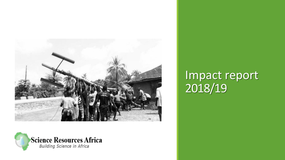



# Impact report 2018/19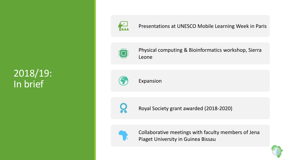#### 2018/19: In brief



#### Presentations at UNESCO Mobile Learning Week in Paris



Physical computing & Bioinformatics workshop, Sierra Leone



Expansion



Royal Society grant awarded (2018-2020)



Collaborative meetings with faculty members of Jena Piaget University in Guinea Bissau

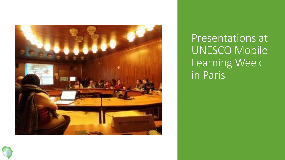

Presentations at UNESCO Mobile Learning Week in Paris

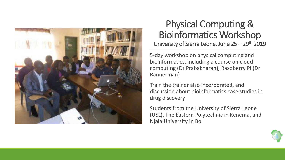

#### Physical Computing & Bioinformatics Workshop University of Sierra Leone, June 25 – 29<sup>th</sup> 2019

5-day workshop on physical computing and bioinformatics, including a course on cloud computing (Dr Prabakharan), Raspberry Pi (Dr Bannerman)

Train the trainer also incorporated, and discussion about bioinformatics case studies in drug discovery

Students from the University of Sierra Leone (USL), The Eastern Polytechnic in Kenema, and Njala University in Bo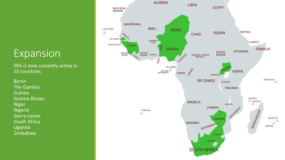#### Expansion

SRA is now currently active in 10 countries:

Benin The Gambia Guinea Guinea-Bissau Niger Nigeria Sierra Leone South Africa Uganda Zimbabwe

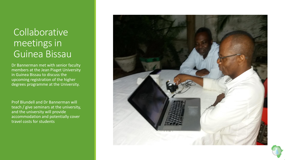#### Collaborative meetings in Guinea Bissau

Dr Bannerman met with senior faculty members at the Jean Piaget University in Guinea Bissau to discuss the upcoming registration of the higher degrees programme at the University.

Prof Blundell and Dr Bannerman will teach / give seminars at the university, and the university will provide accommodation and potentially cover travel costs for students



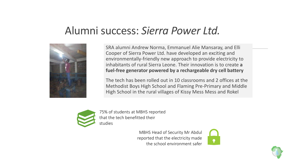### Alumni success: *Sierra Power Ltd.*



SRA alumni Andrew Norma, Emmanuel Alie Mansaray, and Elli Cooper of Sierra Power Ltd. have developed an exciting and environmentally-friendly new approach to provide electricity to inhabitants of rural Sierra Leone. Their innovation is to create **a fuel-free generator powered by a rechargeable dry cell battery**

The tech has been rolled out in 10 classrooms and 2 offices at the Methodist Boys High School and Flaming Pre-Primary and Middle High School in the rural villages of Kissy Mess Mess and Rokel



75% of students at MBHS reported that the tech benefitted their studies

> MBHS Head of Security Mr Abdul reported that the electricity made the school environment safer



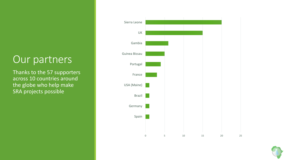## Our partners

Thanks to the 57 supporters across 10 countries around the globe who help make SRA projects possible